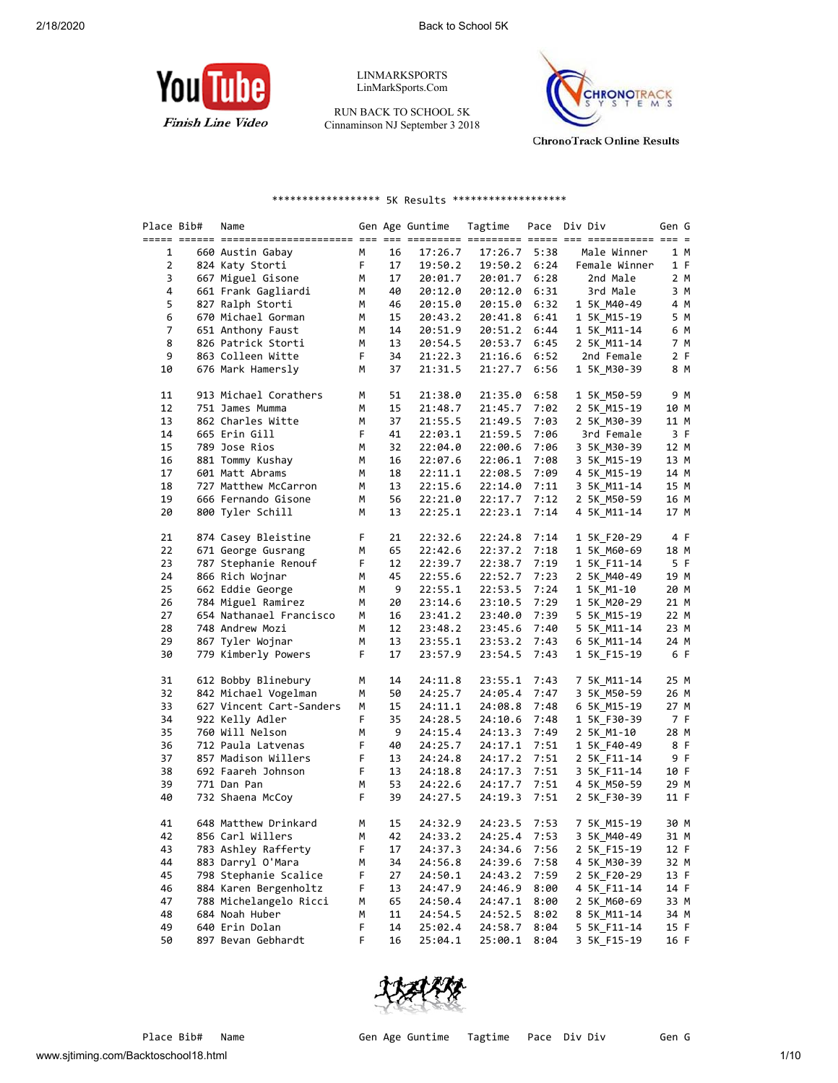

LINMARKSPORTS LinMarkSports.Com

RUN BACK TO SCHOOL 5K Cinnaminson NJ September 3 2018



**ChronoTrack Online Results** 

## \*\*\*\*\*\*\*\*\*\*\*\*\*\*\*\*\*\* 5K Results \*\*\*\*\*\*\*\*\*\*\*\*\*\*\*\*\*\*\*

| Place Bib# | Name                     |   |    | Gen Age Guntime | Tagtime |      | Pace Div Div              | Gen G |
|------------|--------------------------|---|----|-----------------|---------|------|---------------------------|-------|
| 1          | 660 Austin Gabay         | М | 16 | 17:26.7         | 17:26.7 | 5:38 | Male Winner               | 1 M   |
| 2          | 824 Katy Storti          | F | 17 | 19:50.2         | 19:50.2 | 6:24 | Female Winner             | 1 F   |
| 3          | 667 Miguel Gisone        | М | 17 | 20:01.7         | 20:01.7 | 6:28 | 2nd Male                  | 2 M   |
| 4          | 661 Frank Gagliardi      | М | 40 | 20:12.0         | 20:12.0 | 6:31 | 3rd Male                  | 3 M   |
| 5          | 827 Ralph Storti         | М | 46 | 20:15.0         | 20:15.0 | 6:32 | 1 5K M40-49               | 4 M   |
| 6          | 670 Michael Gorman       | м | 15 | 20:43.2         | 20:41.8 | 6:41 | 1 5K_M15-19               | 5 M   |
| 7          | 651 Anthony Faust        | М | 14 | 20:51.9         | 20:51.2 | 6:44 | 1 5K M11-14               | 6 M   |
| 8          | 826 Patrick Storti       | М | 13 | 20:54.5         | 20:53.7 | 6:45 |                           | 7 M   |
| 9          | 863 Colleen Witte        | F | 34 | 21:22.3         | 21:16.6 | 6:52 | 2 5K_M11-14<br>2nd Female | 2 F   |
| 10         | 676 Mark Hamersly        | М | 37 | 21:31.5         | 21:27.7 | 6:56 | 1 5K M30-39               | 8 M   |
| 11         | 913 Michael Corathers    | М | 51 | 21:38.0         | 21:35.0 | 6:58 | 1 5K_M50-59               | 9 M   |
| 12         | 751 James Mumma          | м | 15 | 21:48.7         | 21:45.7 | 7:02 | 2 5K M15-19               | 10 M  |
| 13         | 862 Charles Witte        | М | 37 | 21:55.5         | 21:49.5 | 7:03 | 2 5K_M30-39               | 11 M  |
| 14         | 665 Erin Gill            | F | 41 | 22:03.1         | 21:59.5 | 7:06 | 3rd Female                | 3 F   |
| 15         | 789 Jose Rios            | М | 32 | 22:04.0         | 22:00.6 | 7:06 | 3 5K M30-39               | 12 M  |
| 16         | 881 Tommy Kushay         | М | 16 | 22:07.6         | 22:06.1 | 7:08 | 3 5K M15-19               | 13 M  |
| 17         | 601 Matt Abrams          | м | 18 | 22:11.1         | 22:08.5 | 7:09 | 4 5K_M15-19               | 14 M  |
| 18         | 727 Matthew McCarron     | М | 13 | 22:15.6         | 22:14.0 | 7:11 | 3 5K M11-14               | 15 M  |
| 19         | 666 Fernando Gisone      | М | 56 | 22:21.0         | 22:17.7 | 7:12 | 2 5K M50-59               | 16 M  |
| 20         | 800 Tyler Schill         | М | 13 | 22:25.1         | 22:23.1 | 7:14 | 4 5K_M11-14               | 17 M  |
| 21         | 874 Casey Bleistine      | F | 21 | 22:32.6         | 22:24.8 | 7:14 | 1 5K F20-29               | 4 F   |
| 22         | 671 George Gusrang       | м | 65 | 22:42.6         | 22:37.2 | 7:18 | 1 5K_M60-69               | 18 M  |
| 23         | 787 Stephanie Renouf     | F | 12 | 22:39.7         | 22:38.7 | 7:19 | 1 5K_F11-14               | 5 F   |
| 24         | 866 Rich Wojnar          | М | 45 | 22:55.6         | 22:52.7 | 7:23 | 2 5K_M40-49               | 19 M  |
| 25         | 662 Eddie George         | м | 9  | 22:55.1         | 22:53.5 | 7:24 | 1 5K_M1-10                | 20 M  |
| 26         | 784 Miguel Ramirez       | м | 20 | 23:14.6         | 23:10.5 | 7:29 | 1 5K M20-29               | 21 M  |
| 27         | 654 Nathanael Francisco  | М | 16 | 23:41.2         | 23:40.0 | 7:39 | 5 5K M15-19               | 22 M  |
| 28         | 748 Andrew Mozi          | М | 12 | 23:48.2         | 23:45.6 | 7:40 | 5 5K_M11-14               | 23 M  |
| 29         | 867 Tyler Wojnar         | М | 13 | 23:55.1         | 23:53.2 | 7:43 | 6 5K M11-14               | 24 M  |
| 30         | 779 Kimberly Powers      | F | 17 | 23:57.9         | 23:54.5 | 7:43 | 1 5K_F15-19               | 6 F   |
| 31         | 612 Bobby Blinebury      | м | 14 | 24:11.8         | 23:55.1 | 7:43 | 7 5K M11-14               | 25 M  |
| 32         | 842 Michael Vogelman     | М | 50 | 24:25.7         | 24:05.4 | 7:47 | 3 5K M50-59               | 26 M  |
| 33         | 627 Vincent Cart-Sanders | М | 15 | 24:11.1         | 24:08.8 | 7:48 | 6 5K_M15-19               | 27 M  |
| 34         | 922 Kelly Adler          | F | 35 | 24:28.5         | 24:10.6 | 7:48 | 1 5K_F30-39               | 7 F   |
| 35         | 760 Will Nelson          | М | 9  | 24:15.4         | 24:13.3 | 7:49 | 2 5K M1-10                | 28 M  |
| 36         | 712 Paula Latvenas       | F | 40 | 24:25.7         | 24:17.1 | 7:51 | 1 5K_F40-49               | 8 F   |
| 37         | 857 Madison Willers      | F | 13 | 24:24.8         | 24:17.2 | 7:51 | 2 5K F11-14               | 9 F   |
| 38         | 692 Faareh Johnson       | F | 13 | 24:18.8         | 24:17.3 | 7:51 | 3 5K F11-14               | 10 F  |
| 39         | 771 Dan Pan              | м | 53 | 24:22.6         | 24:17.7 | 7:51 | 4 5K M50-59               | 29 M  |
| 40         | 732 Shaena McCoy         | F | 39 | 24:27.5         | 24:19.3 | 7:51 | 2 5K_F30-39               | 11 F  |
| 41         | 648 Matthew Drinkard     | М | 15 | 24:32.9         | 24:23.5 | 7:53 | 7 5K M15-19               | 30 M  |
| 42         | 856 Carl Willers         | М | 42 | 24:33.2         | 24:25.4 | 7:53 | 3 5K_M40-49               | 31 M  |
| 43         | 783 Ashley Rafferty      | F | 17 | 24:37.3         | 24:34.6 | 7:56 | 2 5K F15-19               | 12 F  |
| 44         | 883 Darryl O'Mara        | M | 34 | 24:56.8         | 24:39.6 | 7:58 | 4 5K M30-39               | 32 M  |
| 45         | 798 Stephanie Scalice    | F | 27 | 24:50.1         | 24:43.2 | 7:59 | 2 5K F20-29               | 13 F  |
| 46         | 884 Karen Bergenholtz    | F | 13 | 24:47.9         | 24:46.9 | 8:00 | 4 5K F11-14               | 14 F  |
| 47         | 788 Michelangelo Ricci   | м | 65 | 24:50.4         | 24:47.1 | 8:00 | 2 5K_M60-69               | 33 M  |
| 48         | 684 Noah Huber           | м | 11 | 24:54.5         | 24:52.5 | 8:02 | 8 5K M11-14               | 34 M  |
| 49         | 640 Erin Dolan           | F | 14 | 25:02.4         | 24:58.7 | 8:04 | 5 5K F11-14               | 15 F  |
| 50         | 897 Bevan Gebhardt       | F | 16 | 25:04.1         | 25:00.1 | 8:04 | 3 5K_F15-19               | 16 F  |

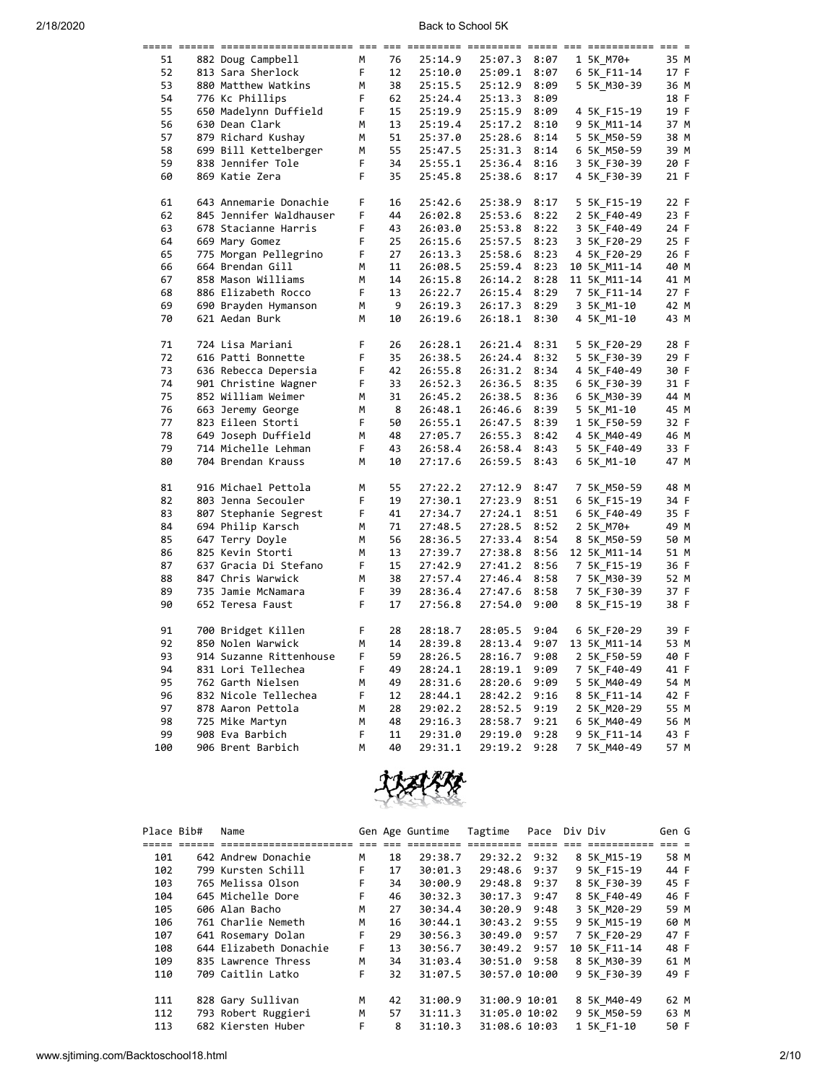|     | ===== ====== |                         |    |     |         |              |      |              |      |
|-----|--------------|-------------------------|----|-----|---------|--------------|------|--------------|------|
| 51  |              | 882 Doug Campbell       | М  | 76  | 25:14.9 | 25:07.3      | 8:07 | 1 5K M70+    | 35 M |
| 52  |              | 813 Sara Sherlock       | F. | 12  | 25:10.0 | 25:09.1      | 8:07 | 6 5K F11-14  | 17 F |
| 53  |              | 880 Matthew Watkins     | М  | 38  | 25:15.5 | 25:12.9      | 8:09 | 5 5K M30-39  | 36 M |
| 54  |              | 776 Kc Phillips         | F  | 62  | 25:24.4 | 25:13.3      | 8:09 |              | 18 F |
| 55  |              | 650 Madelynn Duffield   | F  | 15  | 25:19.9 | 25:15.9      | 8:09 | 4 5K F15-19  | 19 F |
| 56  |              | 630 Dean Clark          | M  | 13  | 25:19.4 | 25:17.2      | 8:10 | 9 5K M11-14  | 37 M |
| 57  |              | 879 Richard Kushay      | м  | 51  | 25:37.0 | 25:28.6      | 8:14 | 5 5K M50-59  | 38 M |
| 58  |              | 699 Bill Kettelberger   | M  | 55  | 25:47.5 | 25:31.3      | 8:14 | 6 5K M50-59  | 39 M |
| 59  |              | 838 Jennifer Tole       | F  | 34  | 25:55.1 | 25:36.4      | 8:16 | 3 5K F30-39  | 20 F |
| 60  |              | 869 Katie Zera          | F. | 35  | 25:45.8 | 25:38.6      | 8:17 | 4 5K F30-39  | 21 F |
|     |              |                         |    |     |         |              |      |              |      |
| 61  |              | 643 Annemarie Donachie  | F  | 16  | 25:42.6 | 25:38.9      | 8:17 | 5 5K F15-19  | 22 F |
| 62  |              | 845 Jennifer Waldhauser | F  | 44  | 26:02.8 | 25:53.6      | 8:22 | 2 5K F40-49  | 23 F |
| 63  |              | 678 Stacianne Harris    | F  | 43  | 26:03.0 | 25:53.8      | 8:22 | 3 5K F40-49  | 24 F |
| 64  |              | 669 Mary Gomez          | F  | 25  | 26:15.6 | 25:57.5      | 8:23 | 3 5K F20-29  | 25 F |
| 65  |              | 775 Morgan Pellegrino   | F  | 27  | 26:13.3 | 25:58.6      | 8:23 | 4 5K F20-29  | 26 F |
| 66  |              | 664 Brendan Gill        | M  | 11  | 26:08.5 | 25:59.4      | 8:23 | 10 5K M11-14 | 40 M |
| 67  |              | 858 Mason Williams      | м  | 14  | 26:15.8 | 26:14.2      | 8:28 | 11 5K M11-14 | 41 M |
| 68  |              | 886 Elizabeth Rocco     | F. | 13  | 26:22.7 | 26:15.4 8:29 |      | 7 5K F11-14  | 27 F |
| 69  |              | 690 Brayden Hymanson    | М  | - 9 | 26:19.3 | 26:17.3      | 8:29 | 3 5K M1-10   | 42 M |
| 70  |              | 621 Aedan Burk          | M  | 10  | 26:19.6 | 26:18.1      | 8:30 | 4 5K_M1-10   | 43 M |
|     |              |                         |    |     |         |              |      |              |      |
| 71  |              | 724 Lisa Mariani        | F  | 26  | 26:28.1 | 26:21.4      | 8:31 | 5 5K F20-29  | 28 F |
| 72  |              | 616 Patti Bonnette      | F  | 35  | 26:38.5 | 26:24.4      | 8:32 | 5 5K F30-39  | 29 F |
| 73  |              | 636 Rebecca Depersia    | F  | 42  | 26:55.8 | 26:31.2      | 8:34 | 4 5K F40-49  | 30 F |
| 74  |              | 901 Christine Wagner    | F  | 33  | 26:52.3 | 26:36.5      | 8:35 | 6 5K F30-39  | 31 F |
| 75  |              | 852 William Weimer      | M  | 31  | 26:45.2 | 26:38.5      | 8:36 | 6 5K M30-39  | 44 M |
| 76  |              | 663 Jeremy George       | M  | - 8 | 26:48.1 | 26:46.6      | 8:39 | 5 5K M1-10   | 45 M |
| 77  |              | 823 Eileen Storti       | F  | 50  | 26:55.1 | 26:47.5      | 8:39 | 1 5K F50-59  | 32 F |
| 78  |              | 649 Joseph Duffield     | М  | 48  | 27:05.7 | 26:55.3      | 8:42 | 4 5K M40-49  | 46 M |
| 79  |              | 714 Michelle Lehman     | F  | 43  | 26:58.4 | 26:58.4      | 8:43 | 5 5K F40-49  | 33 F |
| 80  |              | 704 Brendan Krauss      | M  | 10  | 27:17.6 | 26:59.5      | 8:43 | 6 5K_M1-10   | 47 M |
|     |              |                         |    |     |         |              |      |              |      |
| 81  |              | 916 Michael Pettola     | M  | 55  | 27:22.2 | 27:12.9      | 8:47 | 7 5K M50-59  | 48 M |
| 82  |              | 803 Jenna Secouler      | F  | 19  | 27:30.1 | 27:23.9      | 8:51 | 6 5K F15-19  | 34 F |
| 83  |              | 807 Stephanie Segrest   | F. | 41  | 27:34.7 | 27:24.1      | 8:51 | 6 5K F40-49  | 35 F |
| 84  |              | 694 Philip Karsch       | М  | 71  | 27:48.5 | 27:28.5      | 8:52 | 2 5K M70+    | 49 M |
| 85  |              | 647 Terry Doyle         | M  | 56  | 28:36.5 | 27:33.4      | 8:54 | 8 5K M50-59  | 50 M |
| 86  |              | 825 Kevin Storti        | M  | 13  | 27:39.7 | 27:38.8      | 8:56 | 12 5K M11-14 | 51 M |
| 87  |              | 637 Gracia Di Stefano   | F  | 15  | 27:42.9 | 27:41.2      | 8:56 | 7 5K F15-19  | 36 F |
| 88  |              | 847 Chris Warwick       | М  | 38  | 27:57.4 | 27:46.4 8:58 |      | 7 5K M30-39  | 52 M |
| 89  |              | 735 Jamie McNamara      | F  | 39  | 28:36.4 | 27:47.6      | 8:58 | 7 5K F30-39  | 37 F |
| 90  |              | 652 Teresa Faust        | F. | 17  | 27:56.8 | 27:54.0      | 9:00 | 8 5K F15-19  | 38 F |
|     |              |                         |    |     |         |              |      |              |      |
| 91  |              | 700 Bridget Killen      | F  | 28  | 28:18.7 | 28:05.5      | 9:04 | 6 5K F20-29  | 39 F |
| 92  |              | 850 Nolen Warwick       | м  | 14  | 28:39.8 | 28:13.4      | 9:07 | 13 5K M11-14 | 53 M |
| 93  |              | 914 Suzanne Rittenhouse | F  | 59  | 28:26.5 | 28:16.7      | 9:08 | 2 5K F50-59  | 40 F |
| 94  |              | 831 Lori Tellechea      | F  | 49  | 28:24.1 | 28:19.1      | 9:09 | 7 5K F40-49  | 41 F |
| 95  |              | 762 Garth Nielsen       | M  | 49  | 28:31.6 | 28:20.6      | 9:09 | 5 5K M40-49  | 54 M |
| 96  |              | 832 Nicole Tellechea    | F  | 12  | 28:44.1 | 28:42.2      | 9:16 | 8 5K F11-14  | 42 F |
| 97  |              | 878 Aaron Pettola       | M  | 28  | 29:02.2 | 28:52.5      | 9:19 | 2 5K M20-29  | 55 M |
| 98  |              | 725 Mike Martyn         | М  | 48  | 29:16.3 | 28:58.7      | 9:21 | 6 5K M40-49  | 56 M |
| 99  |              | 908 Eva Barbich         | F  | 11  | 29:31.0 | 29:19.0      | 9:28 | 9 5K F11-14  | 43 F |
| 100 |              | 906 Brent Barbich       | M  | 40  | 29:31.1 | 29:19.2      | 9:28 | 7 5K M40-49  | 57 M |
|     |              |                         |    |     |         |              |      |              |      |



| Place Bib# | Name                   | Gen Age Guntime |    | Tagtime | Pace          | Div Div |  | Gen G        |      |  |
|------------|------------------------|-----------------|----|---------|---------------|---------|--|--------------|------|--|
|            |                        |                 |    |         | ----          |         |  |              |      |  |
| 101        | 642 Andrew Donachie    | м               | 18 | 29:38.7 | 29:32.2 9:32  |         |  | 8 5K M15-19  | 58 M |  |
| 102        | 799 Kursten Schill     | F.              | 17 | 30:01.3 | 29:48.6       | 9:37    |  | 9 5K F15-19  | 44 F |  |
| 103        | 765 Melissa Olson      | F.              | 34 | 30:00.9 | 29:48.8       | 9:37    |  | 8 5K F30-39  | 45 F |  |
| 104        | 645 Michelle Dore      | F.              | 46 | 30:32.3 | 30:17.3       | 9:47    |  | 8 5K F40-49  | 46 F |  |
| 105        | 606 Alan Bacho         | м               | 27 | 30:34.4 | 30:20.9       | 9:48    |  | 3 5K M20-29  | 59 M |  |
| 106        | 761 Charlie Nemeth     | М               | 16 | 30:44.1 | 30:43.2 9:55  |         |  | 9 5K M15-19  | 60 M |  |
| 107        | 641 Rosemary Dolan     | F.              | 29 | 30:56.3 | 30:49.0       | 9:57    |  | 7 5K F20-29  | 47 F |  |
| 108        | 644 Elizabeth Donachie | F.              | 13 | 30:56.7 | 30:49.2       | 9:57    |  | 10 5K F11-14 | 48 F |  |
| 109        | 835 Lawrence Thress    | М               | 34 | 31:03.4 | 30:51.0 9:58  |         |  | 8 5K M30-39  | 61 M |  |
| 110        | 709 Caitlin Latko      | F.              | 32 | 31:07.5 | 30:57.0 10:00 |         |  | 9 5K F30-39  | 49 F |  |
|            |                        |                 |    |         |               |         |  |              |      |  |
| 111        | 828 Gary Sullivan      | м               | 42 | 31:00.9 | 31:00.9 10:01 |         |  | 8 5K M40-49  | 62 M |  |
| 112        | 793 Robert Ruggieri    | M               | 57 | 31:11.3 | 31:05.0 10:02 |         |  | 9 5K M50-59  | 63 M |  |
| 113        | 682 Kiersten Huber     | F.              | 8  | 31:10.3 | 31:08.6 10:03 |         |  | 1 5K F1-10   | 50 F |  |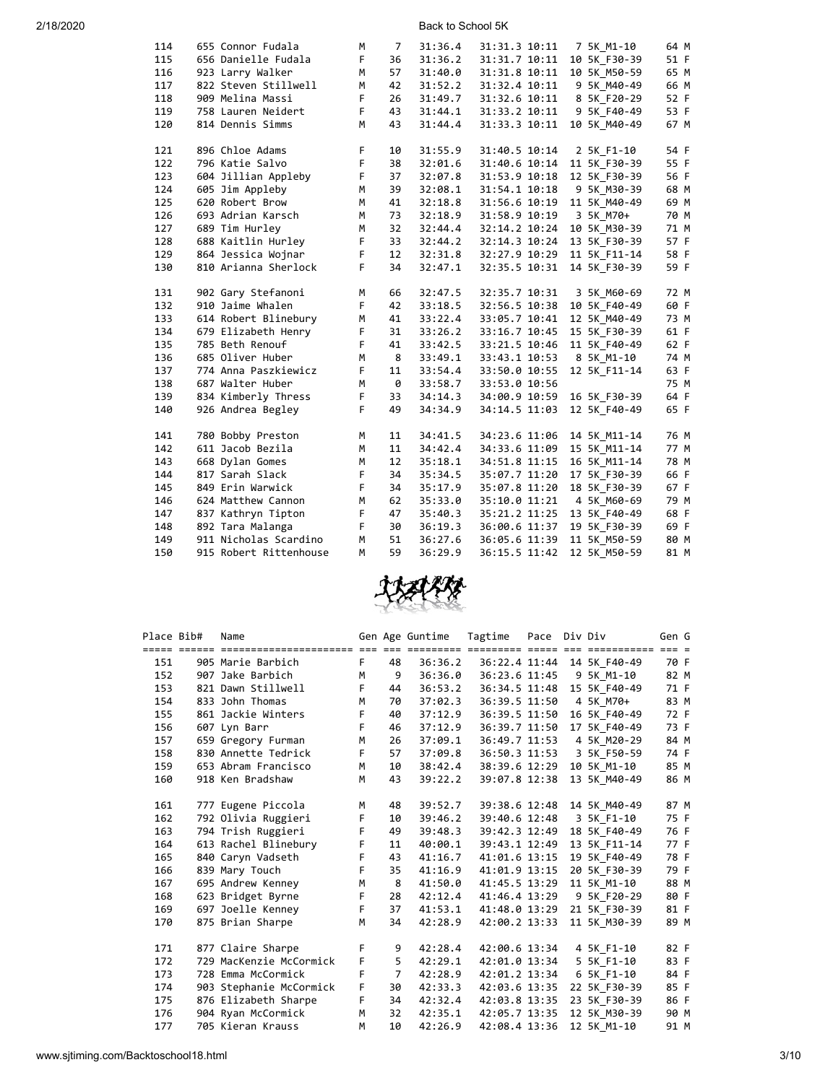| 114 | 655 Connor Fudala      | м  | 7                 | 31:36.4 | 31:31.3 10:11 | 7 5K M1-10   | 64 M |
|-----|------------------------|----|-------------------|---------|---------------|--------------|------|
|     |                        |    |                   |         |               |              |      |
| 115 | 656 Danielle Fudala    | F. | 36                | 31:36.2 | 31:31.7 10:11 | 10 5K F30-39 | 51 F |
| 116 | 923 Larry Walker       | M  | 57                | 31:40.0 | 31:31.8 10:11 | 10 5K M50-59 | 65 M |
| 117 | 822 Steven Stillwell   | M  | 42                | 31:52.2 | 31:32.4 10:11 | 9 5K M40-49  | 66 M |
| 118 | 909 Melina Massi       | F  | 26                | 31:49.7 | 31:32.6 10:11 | 8 5K_F20-29  | 52 F |
| 119 | 758 Lauren Neidert     | F  | 43                | 31:44.1 | 31:33.2 10:11 | 9 5K F40-49  | 53 F |
| 120 | 814 Dennis Simms       | M  | 43                | 31:44.4 | 31:33.3 10:11 | 10 5K M40-49 | 67 M |
|     |                        |    |                   |         |               |              |      |
| 121 | 896 Chloe Adams        | F  | 10                | 31:55.9 | 31:40.5 10:14 | 2 5K F1-10   | 54 F |
| 122 | 796 Katie Salvo        | F  | 38                | 32:01.6 | 31:40.6 10:14 | 11 5K F30-39 | 55 F |
| 123 | 604 Jillian Appleby    | F  | 37                | 32:07.8 | 31:53.9 10:18 | 12 5K F30-39 | 56 F |
| 124 | 605 Jim Appleby        | M  | 39                | 32:08.1 | 31:54.1 10:18 | 9 5K M30-39  | 68 M |
| 125 | 620 Robert Brow        | M  | 41                | 32:18.8 | 31:56.6 10:19 | 11 5K_M40-49 | 69 M |
| 126 | 693 Adrian Karsch      | M  | 73                | 32:18.9 | 31:58.9 10:19 | 3 5K M70+    | 70 M |
| 127 | 689 Tim Hurley         | M  | 32                | 32:44.4 | 32:14.2 10:24 | 10 5K_M30-39 | 71 M |
| 128 | 688 Kaitlin Hurley     | F. | 33                | 32:44.2 | 32:14.3 10:24 | 13 5K F30-39 | 57 F |
| 129 | 864 Jessica Wojnar     | F. | $12 \overline{ }$ | 32:31.8 | 32:27.9 10:29 | 11 5K F11-14 | 58 F |
| 130 | 810 Arianna Sherlock   | F  | 34                | 32:47.1 | 32:35.5 10:31 | 14 5K F30-39 | 59 F |
| 131 | 902 Gary Stefanoni     | М  | 66                | 32:47.5 | 32:35.7 10:31 | 3 5K M60-69  | 72 M |
| 132 | 910 Jaime Whalen       | F  | 42                | 33:18.5 | 32:56.5 10:38 | 10 5K F40-49 | 60 F |
| 133 | 614 Robert Blinebury   | M  | 41                | 33:22.4 | 33:05.7 10:41 | 12 5K M40-49 | 73 M |
| 134 | 679 Elizabeth Henry    | F  | 31                | 33:26.2 | 33:16.7 10:45 | 15 5K F30-39 | 61 F |
| 135 | 785 Beth Renouf        | F. | 41                | 33:42.5 | 33:21.5 10:46 | 11 5K F40-49 | 62 F |
| 136 | 685 Oliver Huber       | M  | - 8               | 33:49.1 | 33:43.1 10:53 | 8 5K M1-10   | 74 M |
| 137 | 774 Anna Paszkiewicz   | F  | 11                | 33:54.4 | 33:50.0 10:55 | 12 5K F11-14 | 63 F |
| 138 | 687 Walter Huber       | М  | - 0               | 33:58.7 |               |              | 75 M |
| 139 | 834 Kimberly Thress    | F  | 33                | 34:14.3 | 33:53.0 10:56 | 16 5K F30-39 | 64 F |
|     |                        | F  | 49                |         | 34:00.9 10:59 |              |      |
| 140 | 926 Andrea Begley      |    |                   | 34:34.9 | 34:14.5 11:03 | 12 5K F40-49 | 65 F |
| 141 | 780 Bobby Preston      | м  | 11                | 34:41.5 | 34:23.6 11:06 | 14 5K M11-14 | 76 M |
| 142 | 611 Jacob Bezila       | M  | 11                | 34:42.4 | 34:33.6 11:09 | 15 5K M11-14 | 77 M |
| 143 | 668 Dylan Gomes        | M  | 12 <sup>2</sup>   | 35:18.1 | 34:51.8 11:15 | 16 5K M11-14 | 78 M |
| 144 | 817 Sarah Slack        | F  | 34                | 35:34.5 | 35:07.7 11:20 | 17 5K F30-39 | 66 F |
| 145 | 849 Erin Warwick       | F  | 34                | 35:17.9 | 35:07.8 11:20 | 18 5K F30-39 | 67 F |
| 146 | 624 Matthew Cannon     | M  | 62                | 35:33.0 | 35:10.0 11:21 | 4 5K M60-69  | 79 M |
| 147 | 837 Kathryn Tipton     | F  | 47                | 35:40.3 | 35:21.2 11:25 | 13 5K F40-49 | 68 F |
| 148 | 892 Tara Malanga       | F  | 30                | 36:19.3 | 36:00.6 11:37 | 19 5K F30-39 | 69 F |
| 149 | 911 Nicholas Scardino  | M  | 51                | 36:27.6 | 36:05.6 11:39 | 11 5K M50-59 | 80 M |
| 150 | 915 Robert Rittenhouse | м  | 59                | 36:29.9 | 36:15.5 11:42 | 12 5K M50-59 | 81 M |



| Place Bib# | Name                                                                                               |                 |                | Gen Age Guntime | Tagtime Pace  |  | Div Div      | Gen G |  |
|------------|----------------------------------------------------------------------------------------------------|-----------------|----------------|-----------------|---------------|--|--------------|-------|--|
|            | <u>stice cooler coolocalizationsclaves als six colocales coolocale cool and coolocalizat als c</u> |                 |                |                 |               |  |              |       |  |
| 151        | 905 Marie Barbich                                                                                  | F.              | 48             | 36:36.2         | 36:22.4 11:44 |  | 14 5K F40-49 | 70 F  |  |
| 152        | 907 Jake Barbich                                                                                   | M               | 9              | 36:36.0         | 36:23.6 11:45 |  | 9 5K M1-10   | 82 M  |  |
| 153        | 821 Dawn Stillwell                                                                                 | F.              | 44             | 36:53.2         | 36:34.5 11:48 |  | 15 5K F40-49 | 71 F  |  |
| 154        | 833 John Thomas                                                                                    | M               | 70             | 37:02.3         | 36:39.5 11:50 |  | 4 5K M70+    | 83 M  |  |
| 155        | 861 Jackie Winters                                                                                 | F.              | 40             | 37:12.9         | 36:39.5 11:50 |  | 16 5K F40-49 | 72 F  |  |
| 156        | 607 Lyn Barr                                                                                       | F.              | 46             | 37:12.9         | 36:39.7 11:50 |  | 17 5K F40-49 | 73 F  |  |
| 157        | 659 Gregory Furman                                                                                 | M               | 26             | 37:09.1         | 36:49.7 11:53 |  | 4 5K M20-29  | 84 M  |  |
| 158        | 830 Annette Tedrick                                                                                | F.              | 57             | 37:09.8         | 36:50.3 11:53 |  | 3 5K F50-59  | 74 F  |  |
| 159        | 653 Abram Francisco                                                                                | M               | 10             | 38:42.4         | 38:39.6 12:29 |  | 10 5K M1-10  | 85 M  |  |
| 160        | 918 Ken Bradshaw                                                                                   | M               | 43             | 39:22.2         | 39:07.8 12:38 |  | 13 5K M40-49 | 86 M  |  |
|            |                                                                                                    |                 |                |                 |               |  |              |       |  |
| 161        | 777 Eugene Piccola                                                                                 | М               | 48             | 39:52.7         | 39:38.6 12:48 |  | 14 5K M40-49 | 87 M  |  |
| 162        | 792 Olivia Ruggieri                                                                                | F.              | 10             | 39:46.2         | 39:40.6 12:48 |  | 3 5K F1-10   | 75 F  |  |
| 163        | 794 Trish Ruggieri                                                                                 | F.              | 49             | 39:48.3         | 39:42.3 12:49 |  | 18 5K F40-49 | 76 F  |  |
| 164        | 613 Rachel Blinebury                                                                               | F.              | 11             | 40:00.1         | 39:43.1 12:49 |  | 13 5K F11-14 | 77 F  |  |
| 165        | 840 Caryn Vadseth                                                                                  | F.              | 43             | 41:16.7         | 41:01.6 13:15 |  | 19 5K F40-49 | 78 F  |  |
| 166        | 839 Mary Touch                                                                                     | F.              | 35             | 41:16.9         | 41:01.9 13:15 |  | 20 5K F30-39 | 79 F  |  |
| 167        | 695 Andrew Kenney                                                                                  | M               | 8              | 41:50.0         | 41:45.5 13:29 |  | 11 5K M1-10  | 88 M  |  |
| 168        | 623 Bridget Byrne                                                                                  | F.              | 28             | 42:12.4         | 41:46.4 13:29 |  | 9 5K F20-29  | 80 F  |  |
| 169        | 697 Joelle Kenney                                                                                  | F.              | 37             | 41:53.1         | 41:48.0 13:29 |  | 21 5K F30-39 | 81 F  |  |
| 170        | 875 Brian Sharpe                                                                                   | M               | 34             | 42:28.9         | 42:00.2 13:33 |  | 11 5K M30-39 | 89 M  |  |
|            |                                                                                                    |                 |                |                 |               |  |              |       |  |
| 171        | 877 Claire Sharpe                                                                                  | F.              | 9              | 42:28.4         | 42:00.6 13:34 |  | 4 5K F1-10   | 82 F  |  |
| 172        | 729 MacKenzie McCormick                                                                            | F <sub>11</sub> | 5 <sub>1</sub> | 42:29.1         | 42:01.0 13:34 |  | 5 5K F1-10   | 83 F  |  |
| 173        | 728 Emma McCormick                                                                                 | F.              | $\overline{7}$ | 42:28.9         | 42:01.2 13:34 |  | 6 5K F1-10   | 84 F  |  |
| 174        | 903 Stephanie McCormick                                                                            | F.              | 30             | 42:33.3         | 42:03.6 13:35 |  | 22 5K F30-39 | 85 F  |  |
| 175        | 876 Elizabeth Sharpe                                                                               | F.              | 34             | 42:32.4         | 42:03.8 13:35 |  | 23 5K F30-39 | 86 F  |  |
| 176        | 904 Ryan McCormick                                                                                 | M               | 32             | 42:35.1         | 42:05.7 13:35 |  | 12 5K M30-39 | 90 M  |  |
| 177        | 705 Kieran Krauss                                                                                  | M               | 10             | 42:26.9         | 42:08.4 13:36 |  | 12 5K M1-10  | 91 M  |  |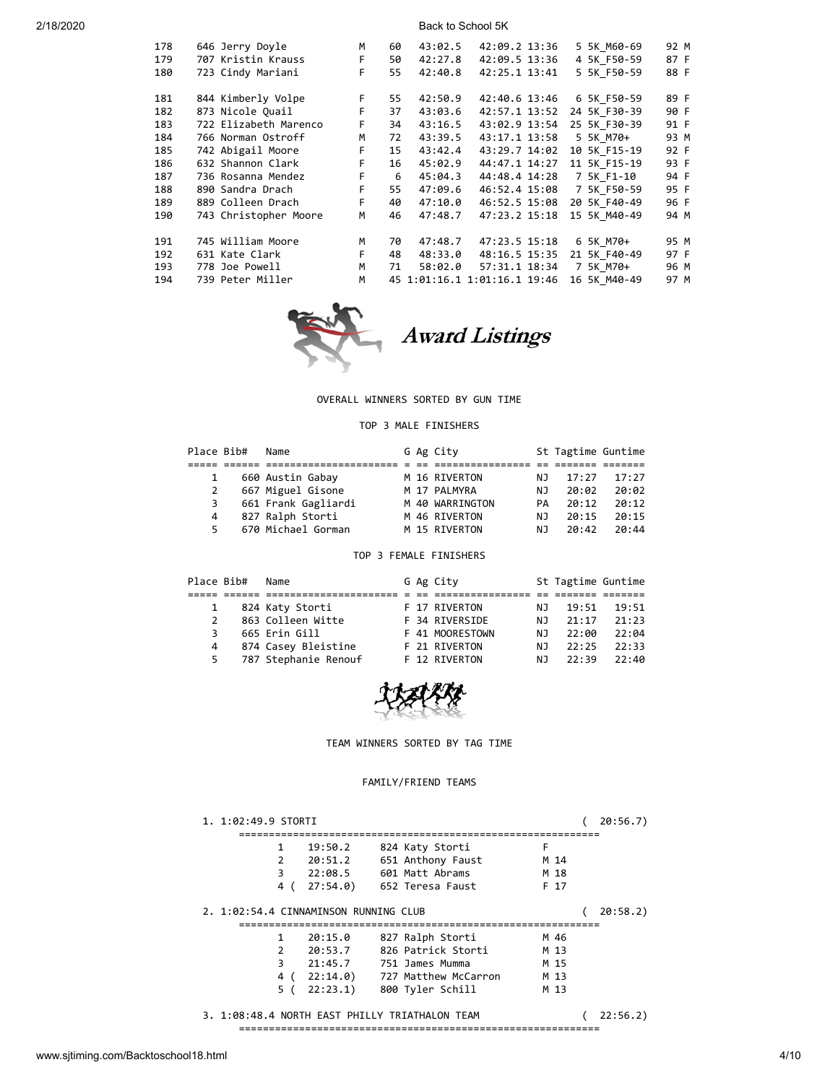| 178 | 646 Jerry Doyle       | М  | 60 | 43:02.5 | 42:09.2 13:36                | 5 5K M60-69  | 92 M |
|-----|-----------------------|----|----|---------|------------------------------|--------------|------|
| 179 | 707 Kristin Krauss    | F. | 50 | 42:27.8 | 42:09.5 13:36                | 4 5K F50-59  | 87 F |
| 180 | 723 Cindy Mariani     | F  | 55 | 42:40.8 | 42:25.1 13:41                | 5 5K F50-59  | 88 F |
|     |                       |    |    |         |                              |              |      |
| 181 | 844 Kimberly Volpe    | F. | 55 | 42:50.9 | 42:40.6 13:46                | 6 5K F50-59  | 89 F |
| 182 | 873 Nicole Quail      | F  | 37 | 43:03.6 | 42:57.1 13:52                | 24 5K F30-39 | 90 F |
| 183 | 722 Elizabeth Marenco | F. | 34 | 43:16.5 | 43:02.9 13:54                | 25 5K F30-39 | 91 F |
| 184 | 766 Norman Ostroff    | M  | 72 | 43:39.5 | 43:17.1 13:58                | 5 5K M70+    | 93 M |
| 185 | 742 Abigail Moore     | F. | 15 | 43:42.4 | 43:29.7 14:02                | 10 5K F15-19 | 92 F |
| 186 | 632 Shannon Clark     | F. | 16 | 45:02.9 | 44:47.1 14:27                | 11 5K F15-19 | 93 F |
| 187 | 736 Rosanna Mendez    | F. | 6  | 45:04.3 | 44:48.4 14:28                | 7 5K F1-10   | 94 F |
| 188 | 890 Sandra Drach      | F  | 55 | 47:09.6 | 46:52.4 15:08                | 7 5K F50-59  | 95 F |
| 189 | 889 Colleen Drach     | F  | 40 | 47:10.0 | 46:52.5 15:08                | 20 5K F40-49 | 96 F |
| 190 | 743 Christopher Moore | M  | 46 | 47:48.7 | 47:23.2 15:18                | 15 5K M40-49 | 94 M |
|     |                       |    |    |         |                              |              |      |
| 191 | 745 William Moore     | M  | 70 | 47:48.7 | 47:23.5 15:18                | 6 5K M70+    | 95 M |
| 192 | 631 Kate Clark        | F. | 48 | 48:33.0 | 48:16.5 15:35                | 21 5K F40-49 | 97 F |
| 193 | 778 Joe Powell        | M  | 71 | 58:02.0 | 57:31.1 18:34                | 7 5K M70+    | 96 M |
| 194 | 739 Peter Miller      | М  |    |         | 45 1:01:16.1 1:01:16.1 19:46 | 16 5K M40-49 | 97 M |
|     |                       |    |    |         |                              |              |      |



Award Listings

# OVERALL WINNERS SORTED BY GUN TIME

### TOP 3 MALE FINISHERS

| Place Bib#   | Name                |  | G Ag City       |     | St Tagtime Guntime |       |
|--------------|---------------------|--|-----------------|-----|--------------------|-------|
|              |                     |  |                 |     |                    |       |
| $\mathbf{1}$ | 660 Austin Gabay    |  | M 16 RIVERTON   | NJ  | 17:27              | 17:27 |
| 2            | 667 Miguel Gisone   |  | M 17 PALMYRA    | NJ  | 20:02              | 20:02 |
| 3            | 661 Frank Gagliardi |  | M 40 WARRINGTON | PА  | 20:12              | 20:12 |
| 4            | 827 Ralph Storti    |  | M 46 RIVERTON   | N J | 20:15              | 20:15 |
| 5.           | 670 Michael Gorman  |  | M 15 RIVERTON   | N J | 20:42              | 20:44 |

## TOP 3 FEMALE FINISHERS

| Place Bib#    | Name                 |  | G Ag City       |     | St Tagtime Guntime |       |
|---------------|----------------------|--|-----------------|-----|--------------------|-------|
|               |                      |  |                 |     |                    |       |
| $\mathbf{1}$  | 824 Katy Storti      |  | F 17 RIVERTON   | NJ. | 19:51              | 19:51 |
| $\mathcal{P}$ | 863 Colleen Witte    |  | F 34 RIVERSIDE  | NJ. | 21:17              | 21:23 |
| 3             | 665 Erin Gill        |  | F 41 MOORESTOWN | N J | 22:00              | 22:04 |
| 4             | 874 Casey Bleistine  |  | F 21 RIVERTON   | N J | 22:25              | 22:33 |
| 5.            | 787 Stephanie Renouf |  | F 12 RIVERTON   | NJ. | 22:39              | 22:40 |



## TEAM WINNERS SORTED BY TAG TIME

## FAMILY/FRIEND TEAMS

| 1. 1:02:49.9 STORTI                            |     |            |                      |   |      | 20:56.7  |
|------------------------------------------------|-----|------------|----------------------|---|------|----------|
| 1                                              |     | 19:50.2    | 824 Katy Storti      | F |      |          |
| 2                                              |     | 20:51.2    | 651 Anthony Faust    |   | M 14 |          |
| 3                                              |     | 22:08.5    | 601 Matt Abrams      |   | M 18 |          |
|                                                | 4 ( | 27:54.0    | 652 Teresa Faust     |   | F 17 |          |
| 2. 1:02:54.4 CINNAMINSON RUNNING CLUB          |     |            |                      |   |      | 20:58.2) |
| 1                                              |     | 20:15.0    | 827 Ralph Storti     |   | M 46 |          |
| $\mathcal{P}$                                  |     | 20:53.7    | 826 Patrick Storti   |   | M 13 |          |
| 3                                              |     | 21:45.7    | 751 James Mumma      |   | M 15 |          |
|                                                |     | 4(22:14.0) | 727 Matthew McCarron |   | M 13 |          |
|                                                | 5 ( | 22:23.1)   | 800 Tyler Schill     |   | M 13 |          |
| 3. 1:08:48.4 NORTH EAST PHILLY TRIATHALON TEAM |     |            |                      |   |      | 22:56.2) |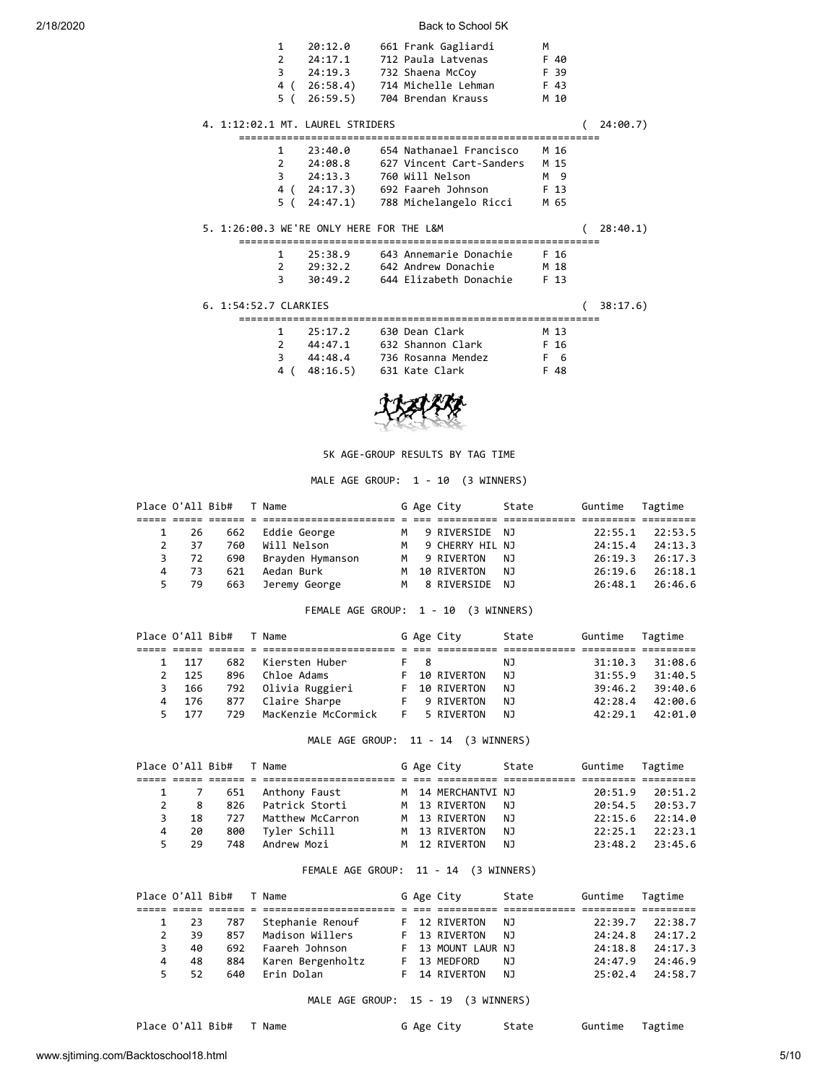| $\mathbf{1}$<br>$\overline{2}$      | 20:12.0<br>24:17.1                       | 661 Frank Gagliardi<br>712 Paula Latvenas F 40<br>F 39<br>3 24:19.3 732 Shaena McCoy<br>4 (26:58.4) 714 Michelle Lehman F 43<br>5 (26:59.5) 704 Brendan Krauss                                              | м<br>M 10 |          |
|-------------------------------------|------------------------------------------|-------------------------------------------------------------------------------------------------------------------------------------------------------------------------------------------------------------|-----------|----------|
|                                     | 4. 1:12:02.1 MT. LAUREL STRIDERS         |                                                                                                                                                                                                             |           | 24:00.7) |
|                                     | 5. 1:26:00.3 WE'RE ONLY HERE FOR THE L&M | 1 23:40.0 654 Nathanael Francisco M 16<br>2  24:08.8  627  Vincent Cart-Sanders  M 15<br>M 9<br>3 24:13.3 760 Will Nelson<br>4 (24:17.3) 692 Faareh Johnson F 13<br>5 (24:47.1) 788 Michelangelo Ricci M 65 |           | 28:40.1) |
| 3                                   |                                          | 1 25:38.9 643 Annemarie Donachie F 16<br>2 29:32.2 642 Andrew Donachie M 18<br>30:49.2 644 Elizabeth Donachie F 13                                                                                          |           |          |
| 6. 1:54:52.7 CLARKIES               |                                          |                                                                                                                                                                                                             |           | 38:17.6) |
| $\mathbf{1}$<br>$\overline{2}$<br>3 |                                          | 25:17.2 630 Dean Clark<br>M 13<br>44:47.1 632 Shannon Clark F 16<br>44:48.4 736 Rosanna Mendez F 6                                                                                                          |           |          |



4 ( 48:16.5) 631 Kate Clark F 48

#### 5K AGE-GROUP RESULTS BY TAG TIME

### MALE AGE GROUP: 1 - 10 (3 WINNERS)

|                |      | Place O'All Bib# T Name |                      |   | G Age City       | State | Guntime | Tagtime             |
|----------------|------|-------------------------|----------------------|---|------------------|-------|---------|---------------------|
|                |      |                         |                      |   |                  |       |         |                     |
|                | 1 26 |                         | 662 Eddie George     | M | 9 RIVERSIDE NJ   |       |         | 22:55.1 22:53.5     |
| $\mathcal{L}$  | -37  | 760                     | Will Nelson          | м | 9 CHERRY HIL NJ  |       | 24:15.4 | 24:13.3             |
|                | 3 72 |                         | 690 Brayden Hymanson |   | M 9 RIVERTON     | - NJ  |         | $26:19.3$ $26:17.3$ |
| $\overline{4}$ | -73  | 621                     | Aedan Burk           |   | M 10 RIVERTON    | NJ.   | 26:19.6 | 26:18.1             |
|                | 5 79 | 663                     | Jeremy George        |   | M 8 RIVERSIDE NJ |       | 26:48.1 | 26:46.6             |

FEMALE AGE GROUP: 1 - 10 (3 WINNERS)

|                      | Place O'All Bib# T Name |                       |     | G Age City    | State | Guntime | Tagtime |
|----------------------|-------------------------|-----------------------|-----|---------------|-------|---------|---------|
|                      |                         |                       |     |               |       |         |         |
| 1 117                |                         | 682 Kiersten Huber    | F 8 |               | NJ.   | 31:10.3 | 31:08.6 |
| 125<br>$\mathcal{P}$ | 896                     | Chloe Adams           |     | F 10 RIVERTON | NJ.   | 31:55.9 | 31:40.5 |
| - 166<br>3           |                         | 792   Olivia Ruggieri |     | F 10 RIVERTON | NJ.   | 39:46.2 | 39:40.6 |
| 4 176                |                         | 877 Claire Sharpe     |     | 9 RIVERTON    | NJ.   | 42:28.4 | 42:00.6 |
| 5 177                | 729                     | MacKenzie McCormick   |     | F 5 RIVERTON  | NJ.   | 42:29.1 | 42:01.0 |

MALE AGE GROUP: 11 - 14 (3 WINNERS)

|   |                  | Place O'All Bib# T Name |                       |  | G Age City         | State | Guntime Tagtime |                     |
|---|------------------|-------------------------|-----------------------|--|--------------------|-------|-----------------|---------------------|
|   |                  |                         |                       |  |                    |       |                 |                     |
|   |                  |                         | 1 7 651 Anthony Faust |  | M 14 MERCHANTVI NJ |       |                 | 20:51.9 20:51.2     |
|   | $2^{\circ}$<br>8 |                         | 826 Patrick Storti    |  | M 13 RIVERTON      | NJ    |                 | 20:54.5 20:53.7     |
| 3 | 18               |                         | 727 Matthew McCarron  |  | M 13 RIVERTON      | NJ.   |                 | $22:15.6$ $22:14.0$ |
| 4 | 20               | 800                     | Tyler Schill          |  | M 13 RIVERTON      | NJ.   |                 | $22:25.1$ $22:23.1$ |
|   | 5 29             |                         | 748 Andrew Mozi       |  | M 12 RIVERTON      | NJ.   |                 | 23:48.2 23:45.6     |

### FEMALE AGE GROUP: 11 - 14 (3 WINNERS)

|               | Place O'All Bib# |     | T Name             |  | G Age City         | State | Guntime | Tagtime |
|---------------|------------------|-----|--------------------|--|--------------------|-------|---------|---------|
|               |                  |     |                    |  |                    |       |         |         |
|               | 1 23             | 787 | Stephanie Renouf   |  | F 12 RIVERTON      | NJ    | 22:39.7 | 22:38.7 |
| $\mathcal{L}$ | 39               | 857 | Madison Willers    |  | F 13 RIVERTON      | NJ.   | 24:24.8 | 24:17.2 |
| 3             | 40               |     | 692 Faareh Johnson |  | F 13 MOUNT LAUR NJ |       | 24:18.8 | 24:17.3 |
| 4             | 48               | 884 | Karen Bergenholtz  |  | F 13 MEDFORD       | NJ.   | 24:47.9 | 74:46.9 |
|               | 5 52             | 640 | Erin Dolan         |  | F 14 RIVERTON      | NJ    | 25:02.4 | 24:58.7 |

## MALE AGE GROUP: 15 - 19 (3 WINNERS)

Place O'All Bib# T Name G Age City State Guntime Tagtime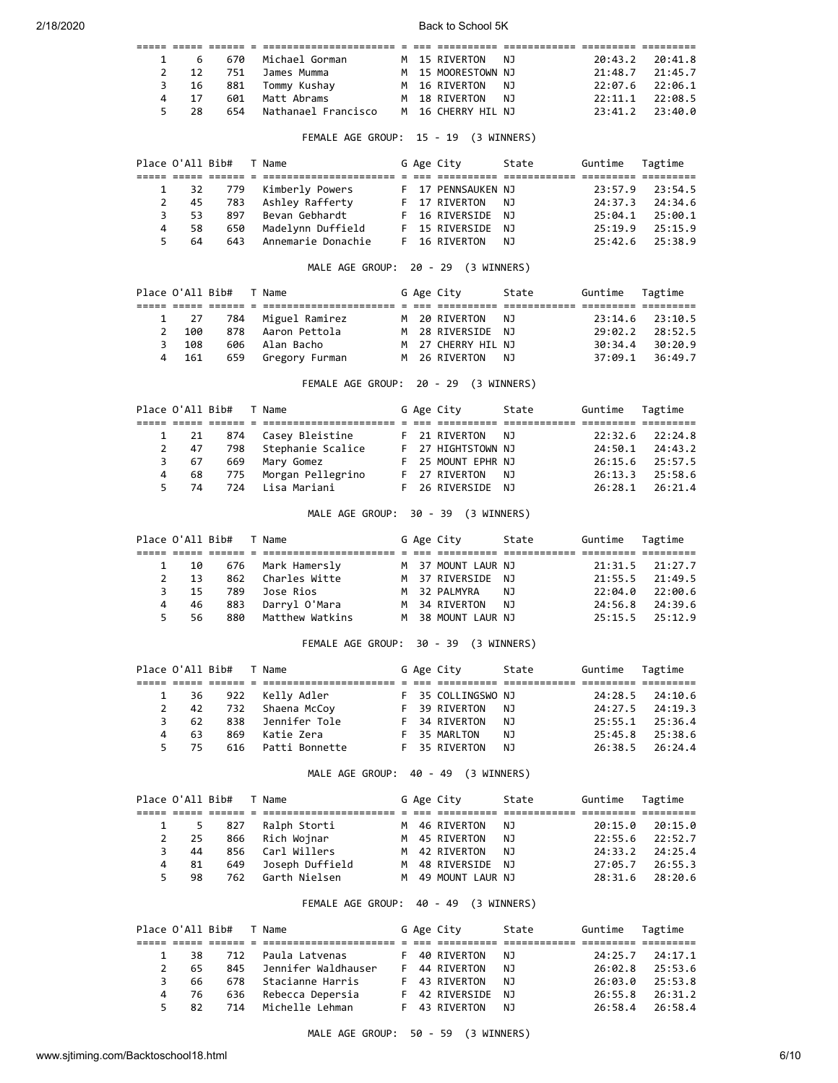|   |      |     | 1 6 670 Michael Gorman |  | M 15 RIVERTON NJ   |  | 20:43.2 20:41.8     |
|---|------|-----|------------------------|--|--------------------|--|---------------------|
|   | 2 12 |     | 751 – James Mumma      |  | M 15 MOORESTOWN NJ |  | $21:48.7$ $21:45.7$ |
|   | 3 16 |     | 881   Tommy Kushay     |  | M 16 RIVERTON NJ   |  | 22:07.6 22:06.1     |
| 4 | 17   | 601 | Matt Abrams            |  | M 18 RIVERTON NJ   |  | $22:11.1$ $22:08.5$ |
|   | 28   | 654 | Nathanael Francisco    |  | M 16 CHERRY HIL NJ |  | $73:41.2$ $73:40.0$ |

### FEMALE AGE GROUP: 15 - 19 (3 WINNERS)

|             | Place O'All Bib# |     | T Name                |  | G Age City         | State | Guntime | Tagtime |
|-------------|------------------|-----|-----------------------|--|--------------------|-------|---------|---------|
|             |                  |     |                       |  |                    |       |         |         |
|             | 1 32             |     | 779   Kimberly Powers |  | F 17 PENNSAUKEN NJ |       | 23:57.9 | 23:54.5 |
| $2^{\circ}$ | -45              | 783 | Ashley Rafferty       |  | F 17 RIVERTON      | NJ    | 24:37.3 | 74:34.6 |
| 3.          | -53              | 897 | Bevan Gebhardt        |  | F 16 RIVERSIDE NJ  |       | 25:04.1 | 25:00.1 |
| 4           | 58               | 650 | Madelynn Duffield     |  | F 15 RIVERSIDE     | NJ.   | 25:19.9 | 25:15.9 |
|             | 64               | 643 | Annemarie Donachie    |  | F 16 RIVERTON      | NJ.   | 25:42.6 | 25:38.9 |

## MALE AGE GROUP: 20 - 29 (3 WINNERS)

|               |       | Place O'All Bib# T Name |                         |  | G Age City         | State | Guntime Tagtime |                     |
|---------------|-------|-------------------------|-------------------------|--|--------------------|-------|-----------------|---------------------|
|               |       |                         |                         |  |                    |       |                 |                     |
|               |       |                         | 1 27 784 Miguel Ramirez |  | M 20 RIVERTON      | NJ N  |                 | $23:14.6$ $23:10.5$ |
| $\mathcal{P}$ | 100   |                         | 878 Aaron Pettola       |  | M 28 RIVERSIDE NJ  |       |                 | 29:02.2 28:52.5     |
|               | 3 108 |                         | 606 Alan Bacho          |  | M 27 CHERRY HIL NJ |       | 30:34.4         | 30:20.9             |
|               | 4 161 |                         | 659 Gregory Furman      |  | M 26 RIVERTON NJ   |       |                 | $37:09.1$ $36:49.7$ |

FEMALE AGE GROUP: 20 - 29 (3 WINNERS)

|  |         | Place O'All Bib# T Name |                       |  | G Age City         | State | Guntime | Tagtime             |
|--|---------|-------------------------|-----------------------|--|--------------------|-------|---------|---------------------|
|  |         |                         |                       |  |                    |       |         |                     |
|  | 1 21    |                         | 874   Casey Bleistine |  | F 21 RIVERTON NJ   |       |         | $22:32.6$ $22:24.8$ |
|  | 2 47    |                         | 798 Stephanie Scalice |  | F 27 HIGHTSTOWN NJ |       |         | $24:50.1$ $24:43.2$ |
|  | 3 67    |                         | 669   Mary Gomez      |  | F 25 MOUNT EPHR NJ |       |         | $26:15.6$ $25:57.5$ |
|  | 68<br>4 |                         | 775 Morgan Pellegrino |  | F 27 RIVERTON      | N J   | 26:13.3 | 25:58.6             |
|  | 5 74    |                         | 724   Lisa Mariani    |  | F 26 RIVERSIDE NJ  |       |         | 26:28.1 26:21.4     |

## MALE AGE GROUP: 30 - 39 (3 WINNERS)

|   |      | Place O'All Bib# T Name |                     |  | G Age City         | State | Guntime Tagtime |                     |
|---|------|-------------------------|---------------------|--|--------------------|-------|-----------------|---------------------|
|   |      |                         |                     |  |                    |       |                 |                     |
|   | 1 10 |                         | 676   Mark Hamersly |  | M 37 MOUNT LAUR NJ |       |                 | 21:31.5 21:27.7     |
| 2 | 13   |                         | 862 Charles Witte   |  | M 37 RIVERSIDE NJ  |       |                 | $21:55.5$ $21:49.5$ |
|   | 3 15 | 789                     | Jose Rios           |  | M 32 PALMYRA       | NJ N  |                 | $22:04.0$ $22:00.6$ |
| 4 | -46  | 883                     | Darryl O'Mara       |  | M 34 RIVERTON      | N J   | 24:56.8         | 74:39.6             |
|   | 5 56 |                         | 880 Matthew Watkins |  | M 38 MOUNT LAUR NJ |       |                 | $25:15.5$ $25:12.9$ |

## FEMALE AGE GROUP: 30 - 39 (3 WINNERS)

|    |      | Place O'All Bib# T Name |                    |  | G Age City         | State | Guntime Tagtime |                     |
|----|------|-------------------------|--------------------|--|--------------------|-------|-----------------|---------------------|
|    |      |                         |                    |  |                    |       |                 |                     |
|    | 1 36 |                         | 922   Kelly Adler  |  | F 35 COLLINGSWO NJ |       |                 | 24:28.5 24:10.6     |
|    | 2 42 |                         | 732 Shaena McCoy   |  | F 39 RIVERTON      | NJ.   |                 | $24:27.5$ $24:19.3$ |
| 3. | -62  | 838                     | Jennifer Tole      |  | F 34 RIVERTON      | NJ.   |                 | $25:55.1$ $25:36.4$ |
| 4  | -63  | 869                     | Katie Zera         |  | F 35 MARLTON       | NJ.   | 25:45.8         | 25:38.6             |
|    | 5 75 |                         | 616 Patti Bonnette |  | F 35 RIVERTON      | NJ.   |                 | 26:38.5 26:24.4     |

MALE AGE GROUP: 40 - 49 (3 WINNERS)

|    | Place O'All Bib# |     | T Name            |   | G Age City        | State | Guntime | Tagtime |
|----|------------------|-----|-------------------|---|-------------------|-------|---------|---------|
|    |                  |     |                   |   |                   |       |         |         |
|    | 5.               | 827 | Ralph Storti      |   | M 46 RIVERTON     | NJ    | 20:15.0 | 20:15.0 |
| 2  | - 25             | 866 | Rich Wojnar       |   | M 45 RIVERTON     | NJ.   | 22:55.6 | 22:52.7 |
| 3  | 44               | 856 | Carl Willers      |   | M 42 RIVERTON     | NJ.   | 24:33.2 | 24:25.4 |
| 4  | 81               | 649 | Joseph Duffield   |   | M 48 RIVERSIDE NJ |       | 27:05.7 | 26:55.3 |
| 5. | 98               |     | 762 Garth Nielsen | M | 49 MOUNT LAUR NJ  |       | 28:31.6 | 28:20.6 |

## FEMALE AGE GROUP: 40 - 49 (3 WINNERS)

|   |                     | Place O'All Bib# T Name |                         |  | G Age City     | State | Guntime Tagtime |                     |
|---|---------------------|-------------------------|-------------------------|--|----------------|-------|-----------------|---------------------|
|   |                     |                         |                         |  |                |       |                 |                     |
|   | -38<br>$\mathbf{1}$ |                         | 712 Paula Latvenas      |  | F 40 RIVERTON  | NJ.   |                 | $24:25.7$ $24:17.1$ |
| 2 | 65                  |                         | 845 Jennifer Waldhauser |  | F 44 RIVERTON  | NJ.   | 26:02.8         | 25:53.6             |
|   | 66.<br>$\mathbf{3}$ |                         | 678 Stacianne Harris    |  | F 43 RIVERTON  | - NJ  | 26:03.0         | 25:53.8             |
|   | 4 76                |                         | 636 Rebecca Depersia    |  | F 42 RIVERSIDE | N J   | 26:55.8         | 26:31.2             |
|   | 5 82                |                         | 714 - Michelle Lehman   |  | F 43 RIVERTON  | N J   | 26:58.4         | 26:58.4             |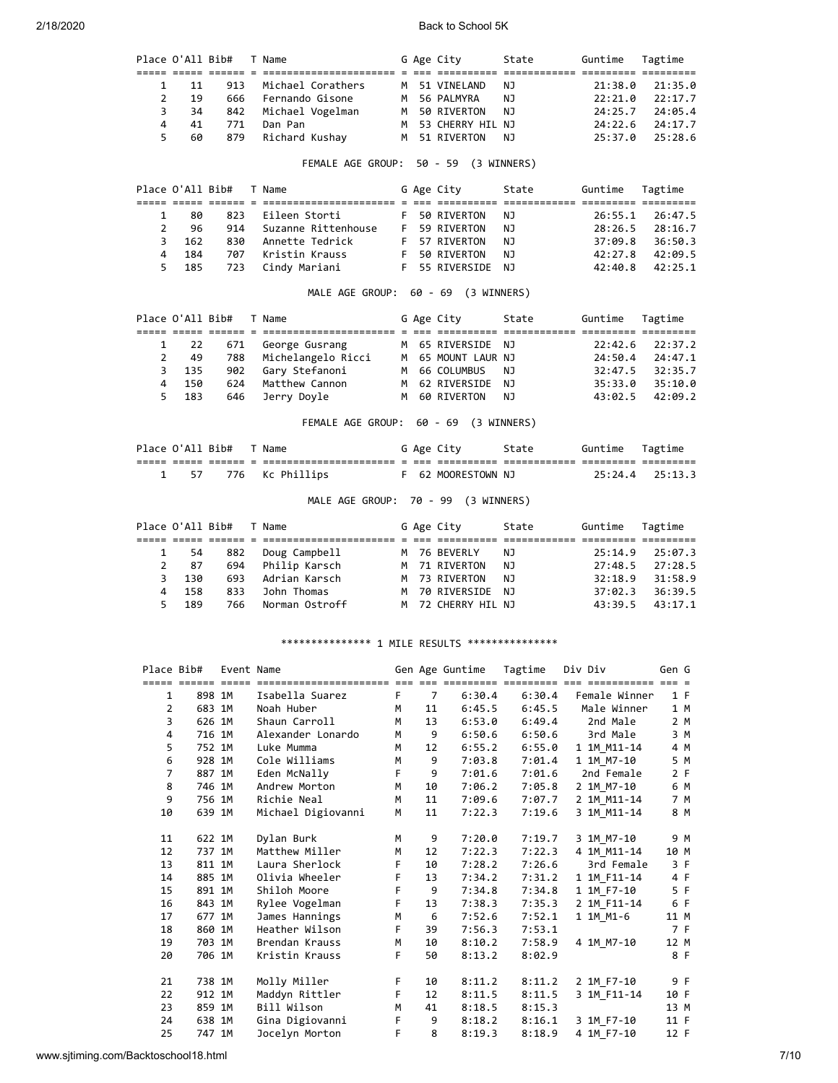Place O'All Bib# T Name G Age City State Guntime Tagtime ===== ===== ====== = ====================== = === ========== ============ ========= ========= 1 11 913 Michael Corathers M 51 VINELAND NJ 21:38.0 21:35.0 2 19 666 Fernando Gisone M 56 PALMYRA NJ 22:21.0 22:17.7

| 4              | 3<br>34          | 842                     | Michael Vogelman                                 |             |    | M 50 RIVERTON                   | ΝJ     | 24:25.7         | 24:05.4 |
|----------------|------------------|-------------------------|--------------------------------------------------|-------------|----|---------------------------------|--------|-----------------|---------|
|                | 41               | 771                     | Dan Pan                                          |             |    | M 53 CHERRY HIL NJ              |        | 24:22.6         | 24:17.7 |
| 5              | 60               | 879                     | Richard Kushay                                   |             |    | M 51 RIVERTON                   | NJ     | 25:37.0         | 25:28.6 |
|                |                  |                         | FEMALE AGE GROUP: 50 - 59 (3 WINNERS)            |             |    |                                 |        |                 |         |
|                | Place O'All Bib# |                         | T Name                                           |             |    | G Age City                      | State  | Guntime         | Tagtime |
| 1              | 80               | 823                     | Eileen Storti                                    |             |    | 50 RIVERTON                     | ΝJ     | 26:55.1         | 26:47.5 |
| $\overline{2}$ | 96               | 914                     | Suzanne Rittenhouse                              |             |    | F 59 RIVERTON                   | ΝJ     | 28:26.5         | 28:16.7 |
|                |                  |                         |                                                  |             |    |                                 |        |                 |         |
| 3              | 162              | 830                     | Annette Tedrick                                  |             |    | F 57 RIVERTON                   | ΝJ     | 37:09.8         | 36:50.3 |
| 4              | 184              | 707                     | Kristin Krauss                                   |             |    | F 50 RIVERTON                   | ΝJ     | 42:27.8         | 42:09.5 |
| 5              | 185              | 723                     | Cindy Mariani                                    |             |    | F 55 RIVERSIDE NJ               |        | 42:40.8         | 42:25.1 |
|                |                  |                         | MALE AGE GROUP: 60 - 69 (3 WINNERS)              |             |    |                                 |        |                 |         |
|                |                  | Place O'All Bib# T Name |                                                  |             |    | G Age City                      | State  | Guntime Tagtime |         |
| 1              | 22               | 671                     | George Gusrang                                   |             |    | M 65 RIVERSIDE NJ               |        | 22:42.6         | 22:37.2 |
| $\overline{2}$ | 49               | 788                     | Michelangelo Ricci                               |             |    | M 65 MOUNT LAUR NJ              |        | 24:50.4         | 24:47.1 |
| 3              | 135              | 902                     | Gary Stefanoni                                   |             |    | M 66 COLUMBUS                   | ΝJ     | 32:47.5         | 32:35.7 |
| 4              | 150              | 624                     | Matthew Cannon                                   |             |    | M 62 RIVERSIDE NJ               |        | 35:33.0         | 35:10.0 |
| 5              | 183              | 646                     | Jerry Doyle                                      |             |    | M 60 RIVERTON                   | NJ     | 43:02.5         | 42:09.2 |
|                |                  |                         |                                                  |             |    |                                 |        |                 |         |
|                |                  |                         | FEMALE AGE GROUP: 60 - 69 (3 WINNERS)            |             |    |                                 |        |                 |         |
|                |                  | Place O'All Bib# T Name |                                                  |             |    | G Age City                      | State  | Guntime Tagtime |         |
| $\mathbf{1}$   | 57               | 776                     | Kc Phillips                                      |             |    | F 62 MOORESTOWN NJ              |        | 25:24.4         | 25:13.3 |
|                |                  |                         | MALE AGE GROUP: 70 - 99 (3 WINNERS)              |             |    |                                 |        |                 |         |
|                | Place O'All Bib# |                         | T Name                                           |             |    | G Age City                      | State  | Guntime         | Tagtime |
|                |                  |                         |                                                  |             |    |                                 |        |                 |         |
| 1              | 54               | 882                     | Doug Campbell                                    |             |    | M 76 BEVERLY                    | ΝJ     | 25:14.9         | 25:07.3 |
| $\overline{2}$ | 87               | 694                     | Philip Karsch                                    |             |    | M 71 RIVERTON                   | NJ     | 27:48.5         | 27:28.5 |
| 3              | 130              | 693                     | Adrian Karsch                                    |             |    | M 73 RIVERTON                   | ΝJ     | 32:18.9         | 31:58.9 |
| 4              | 158              | 833                     | John Thomas                                      |             |    | M 70 RIVERSIDE NJ               |        | 37:02.3         | 36:39.5 |
| 5              | 189              | 766                     | Norman Ostroff                                   |             |    | M 72 CHERRY HIL NJ              |        | 43:39.5         | 43:17.1 |
|                |                  | Place Bib# Event Name   | **************** 1 MILE RESULTS **************** |             |    | Gen Age Guntime Tagtime Div Div |        |                 | Gen G   |
|                |                  |                         |                                                  |             |    |                                 |        |                 |         |
|                | 1                | 898 1M                  | Isabella Suarez                                  |             |    |                                 |        | Female Winner   | 1 F     |
|                | $\overline{2}$   |                         |                                                  | F           | 7  | 6:30.4                          | 6:30.4 |                 |         |
|                |                  | 683 1M                  | Noah Huber                                       | м           | 11 | 6:45.5                          | 6:45.5 | Male Winner     | 1 M     |
|                | 3                | 626 1M                  | Shaun Carroll                                    | $M_{\odot}$ | 13 | 6:53.0                          | 6:49.4 | 2nd Male        | 2 M     |
|                | 4                | 716 1M                  | Alexander Lonardo                                | M           |    | 9<br>6:50.6                     | 6:50.6 | 3rd Male        | 3 M     |
|                | 5                | 752 1M                  | Luke Mumma                                       | M           | 12 | 6:55.2                          | 6:55.0 | 1 1M_M11-14     | 4 M     |
|                | 6                | 928 1M                  | Cole Williams                                    | М           |    | 9<br>7:03.8                     | 7:01.4 | 1 1M_M7-10      | 5 M     |
|                | 7                | 887 1M                  | Eden McNally                                     | F.          |    | 9<br>7:01.6                     | 7:01.6 | 2nd Female      | 2 F     |
|                | 8                | 746 1M                  | Andrew Morton                                    | М           | 10 | 7:06.2                          | 7:05.8 | 2 1M M7-10      | 6 M     |
|                | 9                | 756 1M                  | Richie Neal                                      | М           | 11 | 7:09.6                          | 7:07.7 | 2 1M M11-14     | 7 M     |
| 10             |                  | 639 1M                  | Michael Digiovanni                               | М           | 11 | 7:22.3                          | 7:19.6 | 3 1M_M11-14     | 8 M     |
| 11             |                  | 622 1M                  | Dylan Burk                                       | М           |    | 9<br>7:20.0                     | 7:19.7 | 3 1M M7-10      | 9 M     |
| 12             |                  | 737 1M                  | Matthew Miller                                   | М           | 12 | 7:22.3                          | 7:22.3 | 4 1M M11-14     | 10 M    |
| 13             |                  |                         |                                                  | F           |    |                                 |        |                 | 3 F     |
|                |                  | 811 1M                  | Laura Sherlock                                   |             | 10 | 7:28.2                          | 7:26.6 | 3rd Female      |         |
| 14             |                  | 885 1M                  | Olivia Wheeler                                   | F           | 13 | 7:34.2                          | 7:31.2 | 1 1M F11-14     | 4 F     |
| 15             |                  | 891 1M                  | Shiloh Moore                                     | F           |    | 9<br>7:34.8                     | 7:34.8 | 1 1M F7-10      | 5 F     |
| 16             |                  | 843 1M                  | Rylee Vogelman                                   | F           | 13 | 7:38.3                          | 7:35.3 | 2 1M_F11-14     | 6 F     |
| 17             |                  | 677 1M                  | James Hannings                                   | M           |    | 7:52.6<br>6                     | 7:52.1 | 1 1M M1-6       | 11 M    |
| 18             |                  | 860 1M                  | Heather Wilson                                   | F.          | 39 | 7:56.3                          | 7:53.1 |                 | 7 F     |
| 19             |                  | 703 1M                  | Brendan Krauss                                   | М           | 10 | 8:10.2                          | 7:58.9 | 4 1M M7-10      | 12 M    |
| 20             |                  | 706 1M                  | Kristin Krauss                                   | F           | 50 | 8:13.2                          | 8:02.9 |                 | 8 F     |
| 21             |                  | 738 1M                  | Molly Miller                                     | F           | 10 | 8:11.2                          | 8:11.2 | 2 1M F7-10      | 9 F     |
| 22             |                  | 912 1M                  | Maddyn Rittler                                   | F.          | 12 | 8:11.5                          | 8:11.5 | 3 1M F11-14     | 10 F    |
| 23             |                  | 859 1M                  | Bill Wilson                                      | М           | 41 | 8:18.5                          | 8:15.3 |                 | 13 M    |
| 24             |                  | 638 1M                  | Gina Digiovanni                                  | F.          |    | 9<br>8:18.2                     | 8:16.1 | 3 1M F7-10      | 11 F    |
| 25             |                  | 747 1M                  | Jocelyn Morton                                   | F           |    | 8<br>8:19.3                     | 8:18.9 | 4 1M F7-10      | 12 F    |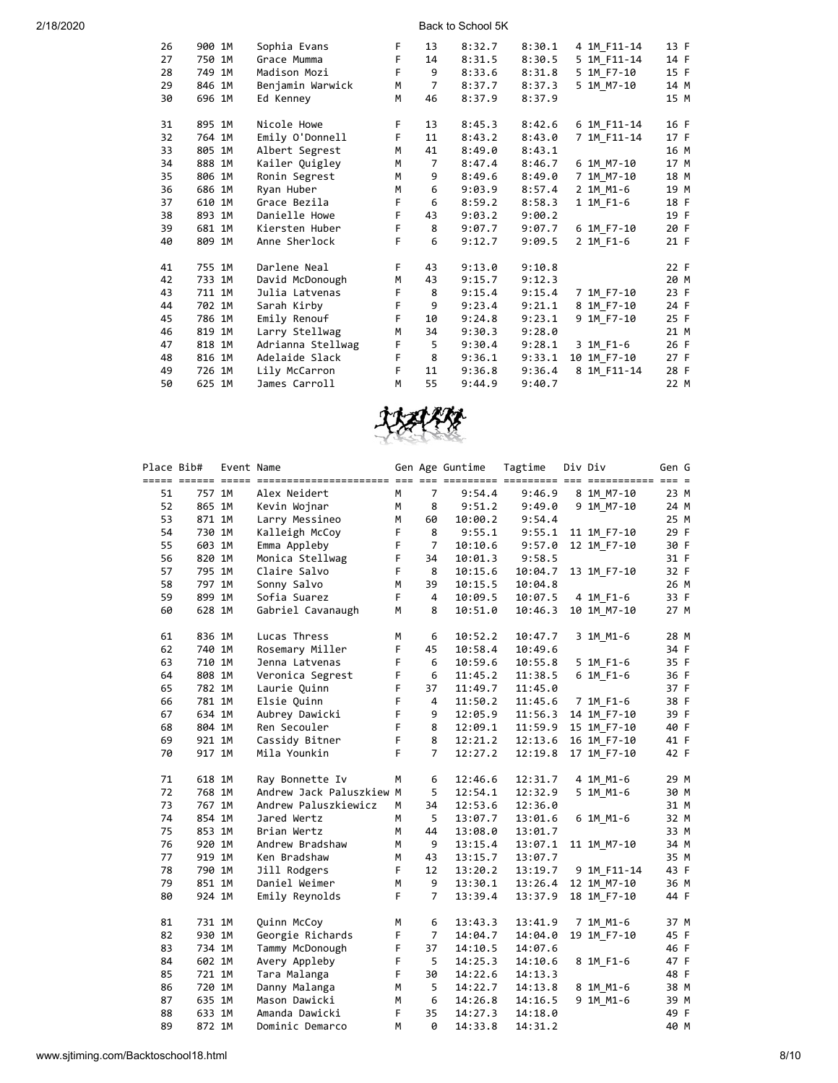| 26 | 900 1M | Sophia Evans      | F. | 13             | 8:32.7 | 8:30.1 | 4 1M F11-14 | 13 F |
|----|--------|-------------------|----|----------------|--------|--------|-------------|------|
| 27 | 750 1M | Grace Mumma       | F  | 14             | 8:31.5 | 8:30.5 | 5 1M F11-14 | 14 F |
| 28 | 749 1M | Madison Mozi      | F  | 9              | 8:33.6 | 8:31.8 | 5 1M F7-10  | 15 F |
| 29 | 846 1M | Benjamin Warwick  | M  | $\overline{7}$ | 8:37.7 | 8:37.3 | 5 1M M7-10  | 14 M |
| 30 | 696 1M | Ed Kenney         | M  | 46             | 8:37.9 | 8:37.9 |             | 15 M |
| 31 | 895 1M | Nicole Howe       | F  | 13             | 8:45.3 | 8:42.6 | 6 1M F11-14 | 16 F |
| 32 | 764 1M | Emily O'Donnell   | F  | 11             | 8:43.2 | 8:43.0 | 7 1M F11-14 | 17 F |
| 33 | 805 1M | Albert Segrest    | M  | 41             | 8:49.0 | 8:43.1 |             | 16 M |
| 34 | 888 1M | Kailer Quigley    | M  | $\overline{7}$ | 8:47.4 | 8:46.7 | 6 1M M7-10  | 17 M |
| 35 | 806 1M | Ronin Segrest     | M  | 9              | 8:49.6 | 8:49.0 | 7 1M M7-10  | 18 M |
| 36 | 686 1M | Ryan Huber        | M  | 6              | 9:03.9 | 8:57.4 | 2 1M M1-6   | 19 M |
| 37 | 610 1M | Grace Bezila      | F  | 6              | 8:59.2 | 8:58.3 | 1 1M F1-6   | 18 F |
| 38 | 893 1M | Danielle Howe     | F  | 43             | 9:03.2 | 9:00.2 |             | 19 F |
| 39 | 681 1M | Kiersten Huber    | F  | 8              | 9:07.7 | 9:07.7 | 6 1M F7-10  | 20 F |
| 40 | 809 1M | Anne Sherlock     | F  | 6              | 9:12.7 | 9:09.5 | 2 1M F1-6   | 21 F |
| 41 | 755 1M | Darlene Neal      | F  | 43             | 9:13.0 | 9:10.8 |             | 22 F |
| 42 | 733 1M | David McDonough   | M  | 43             | 9:15.7 | 9:12.3 |             | 20 M |
| 43 | 711 1M | Julia Latvenas    | F  | 8              | 9:15.4 | 9:15.4 | 7 1M F7-10  | 23 F |
| 44 | 702 1M | Sarah Kirby       | F  | 9              | 9:23.4 | 9:21.1 | 8 1M F7-10  | 24 F |
| 45 | 786 1M | Emily Renouf      | F  | 10             | 9:24.8 | 9:23.1 | 9 1M F7-10  | 25 F |
| 46 | 819 1M | Larry Stellwag    | M  | 34             | 9:30.3 | 9:28.0 |             | 21 M |
| 47 | 818 1M | Adrianna Stellwag | F  | 5              | 9:30.4 | 9:28.1 | 3 1M F1-6   | 26 F |
| 48 | 816 1M | Adelaide Slack    | F  | 8              | 9:36.1 | 9:33.1 | 10 1M F7-10 | 27 F |
| 49 | 726 1M | Lily McCarron     | F  | 11             | 9:36.8 | 9:36.4 | 8 1M F11-14 | 28 F |
| 50 | 625 1M | James Carroll     | M  | 55             | 9:44.9 | 9:40.7 |             | 22 M |
|    |        |                   |    |                |        |        |             |      |



| Place Bib# |        | Event Name |                          |    |                | Gen Age Guntime | Tagtime | Div Div     | Gen G |  |
|------------|--------|------------|--------------------------|----|----------------|-----------------|---------|-------------|-------|--|
| 51         | 757 1M |            | Alex Neidert             | M  | 7              | 9:54.4          | 9:46.9  | 8 1M M7-10  | 23 M  |  |
| 52         | 865 1M |            | Kevin Wojnar             | М  | 8              | 9:51.2          | 9:49.0  | 9 1M M7-10  | 24 M  |  |
| 53         | 871 1M |            | Larry Messineo           | M  | 60             | 10:00.2         | 9:54.4  |             | 25 M  |  |
| 54         | 730 1M |            | Kalleigh McCoy           | F  | 8              | 9:55.1          | 9:55.1  | 11 1M F7-10 | 29 F  |  |
| 55         | 603 1M |            | Emma Appleby             | F  | 7              | 10:10.6         | 9:57.0  | 12 1M F7-10 | 30 F  |  |
| 56         | 820 1M |            | Monica Stellwag          | F  | 34             | 10:01.3         | 9:58.5  |             | 31 F  |  |
| 57         | 795 1M |            | Claire Salvo             | F  | 8              | 10:15.6         | 10:04.7 | 13 1M F7-10 | 32 F  |  |
| 58         | 797 1M |            | Sonny Salvo              | M  | 39             | 10:15.5         | 10:04.8 |             | 26 M  |  |
| 59         | 899 1M |            | Sofia Suarez             | F  | 4              | 10:09.5         | 10:07.5 | 4 1M F1-6   | 33 F  |  |
| 60         | 628 1M |            | Gabriel Cavanaugh        | M  | 8              | 10:51.0         | 10:46.3 | 10 1M M7-10 | 27 M  |  |
| 61         | 836 1M |            | Lucas Thress             | М  | 6              | 10:52.2         | 10:47.7 | 3 1M M1-6   | 28 M  |  |
| 62         | 740 1M |            | Rosemary Miller          | F  | 45             | 10:58.4         | 10:49.6 |             | 34 F  |  |
| 63         | 710 1M |            | Jenna Latvenas           | F  | 6              | 10:59.6         | 10:55.8 | 5 1M F1-6   | 35 F  |  |
| 64         | 808 1M |            | Veronica Segrest         | F  | 6              | 11:45.2         | 11:38.5 | 6 1M F1-6   | 36 F  |  |
| 65         | 782 1M |            | Laurie Quinn             | F  | 37             | 11:49.7         | 11:45.0 |             | 37 F  |  |
| 66         | 781 1M |            | Elsie Quinn              | F  | 4              | 11:50.2         | 11:45.6 | 7 1M F1-6   | 38 F  |  |
| 67         | 634 1M |            | Aubrey Dawicki           | F  | 9              | 12:05.9         | 11:56.3 | 14 1M F7-10 | 39 F  |  |
| 68         | 804 1M |            | Ren Secouler             | F  | 8              | 12:09.1         | 11:59.9 | 15 1M F7-10 | 40 F  |  |
| 69         | 921 1M |            | Cassidy Bitner           | F  | 8              | 12:21.2         | 12:13.6 | 16 1M F7-10 | 41 F  |  |
| 70         | 917 1M |            | Mila Younkin             | F  | $\overline{7}$ | 12:27.2         | 12:19.8 | 17 1M F7-10 | 42 F  |  |
| 71         | 618 1M |            | Ray Bonnette Iv          | M  | 6              | 12:46.6         | 12:31.7 | 4 1M_M1-6   | 29 M  |  |
| 72         | 768 1M |            | Andrew Jack Paluszkiew M |    | 5              | 12:54.1         | 12:32.9 | 5 1M M1-6   | 30 M  |  |
| 73         | 767 1M |            | Andrew Paluszkiewicz     | M  | 34             | 12:53.6         | 12:36.0 |             | 31 M  |  |
| 74         | 854 1M |            | Jared Wertz              | M  | 5              | 13:07.7         | 13:01.6 | 6 1M M1-6   | 32 M  |  |
| 75         | 853 1M |            | Brian Wertz              | M  | 44             | 13:08.0         | 13:01.7 |             | 33 M  |  |
| 76         | 920 1M |            | Andrew Bradshaw          | M  | 9              | 13:15.4         | 13:07.1 | 11 1M M7-10 | 34 M  |  |
| 77         | 919 1M |            | Ken Bradshaw             | M  | 43             | 13:15.7         | 13:07.7 |             | 35 M  |  |
| 78         | 790 1M |            | Jill Rodgers             | F  | 12             | 13:20.2         | 13:19.7 | 9 1M F11-14 | 43 F  |  |
| 79         | 851 1M |            | Daniel Weimer            | M  | 9              | 13:30.1         | 13:26.4 | 12 1M M7-10 | 36 M  |  |
| 80         | 924 1M |            | Emily Reynolds           | F. | 7              | 13:39.4         | 13:37.9 | 18 1M F7-10 | 44 F  |  |
| 81         | 731 1M |            | Quinn McCoy              | М  | 6              | 13:43.3         | 13:41.9 | 7 1M M1-6   | 37 M  |  |
| 82         | 930 1M |            | Georgie Richards         | F  | $\overline{7}$ | 14:04.7         | 14:04.0 | 19 1M F7-10 | 45 F  |  |
| 83         | 734 1M |            | Tammy McDonough          | F  | 37             | 14:10.5         | 14:07.6 |             | 46 F  |  |
| 84         | 602 1M |            | Avery Appleby            | F  | 5              | 14:25.3         | 14:10.6 | 8 1M F1-6   | 47 F  |  |
| 85         | 721 1M |            | Tara Malanga             | F  | 30             | 14:22.6         | 14:13.3 |             | 48 F  |  |
| 86         | 720 1M |            | Danny Malanga            | M  | 5              | 14:22.7         | 14:13.8 | 8 1M M1-6   | 38 M  |  |
| 87         | 635 1M |            | Mason Dawicki            | М  | 6              | 14:26.8         | 14:16.5 | 9 1M M1-6   | 39 M  |  |
| 88         | 633 1M |            | Amanda Dawicki           | F  | 35             | 14:27.3         | 14:18.0 |             | 49 F  |  |
| 89         | 872 1M |            | Dominic Demarco          | M  | ø              | 14:33.8         | 14:31.2 |             | 40 M  |  |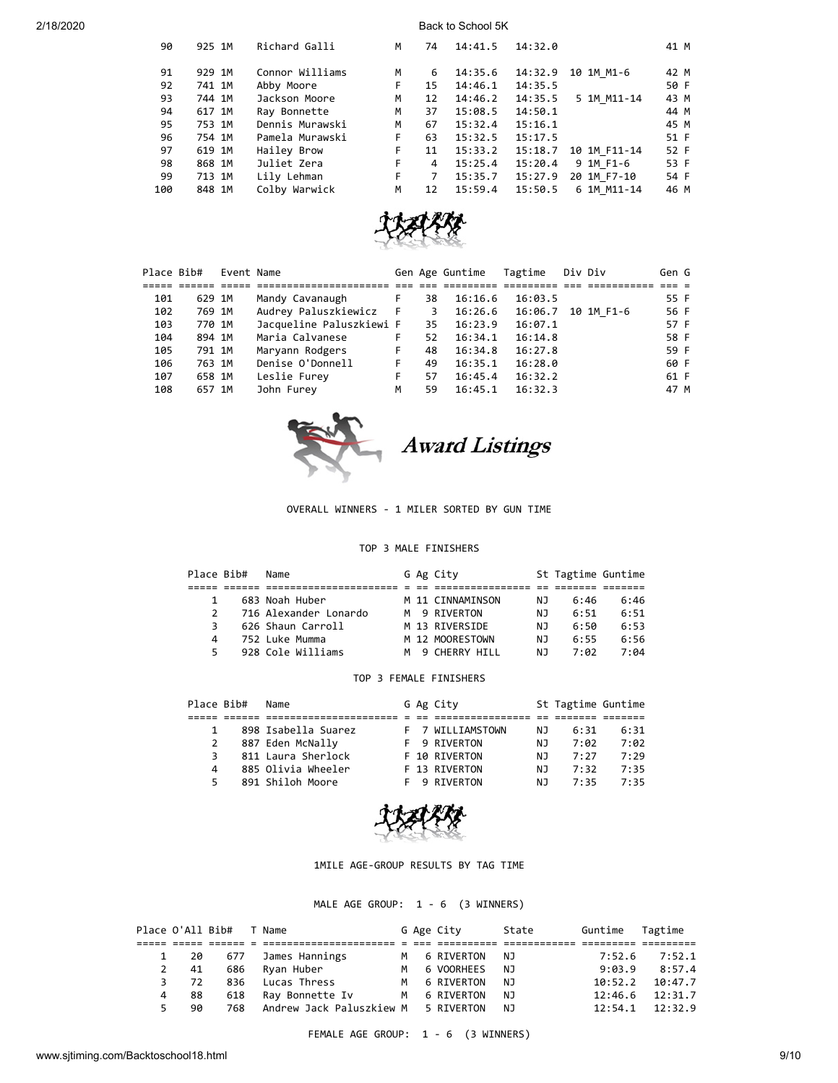| 90  | 925 1M | Richard Galli   | M  | 74 | 14:41.5 | 14:32.0 |              | 41 M |
|-----|--------|-----------------|----|----|---------|---------|--------------|------|
| 91  | 929 1M | Connor Williams | М  | 6  | 14:35.6 | 14:32.9 | 10 1M M1-6   | 42 M |
| 92  | 741 1M | Abby Moore      | F  | 15 | 14:46.1 | 14:35.5 |              | 50 F |
| 93  | 744 1M | Jackson Moore   | M  | 12 | 14:46.2 | 14:35.5 | 5 1M M11-14  | 43 M |
| 94  | 617 1M | Ray Bonnette    | M  | 37 | 15:08.5 | 14:50.1 |              | 44 M |
| 95  | 753 1M | Dennis Murawski | M  | 67 | 15:32.4 | 15:16.1 |              | 45 M |
| 96  | 754 1M | Pamela Murawski | F. | 63 | 15:32.5 | 15:17.5 |              | 51 F |
| 97  | 619 1M | Hailey Brow     | F. | 11 | 15:33.2 | 15:18.7 | 10 1M F11-14 | 52 F |
| 98  | 868 1M | Juliet Zera     | F. | 4  | 15:25.4 | 15:20.4 | 9 1M F1-6    | 53 F |
| 99  | 713 1M | Lily Lehman     | F. | 7  | 15:35.7 | 15:27.9 | 20 1M F7-10  | 54 F |
| 100 | 848 1M | Colby Warwick   | M  | 12 | 15:59.4 | 15:50.5 | 6 1M M11-14  | 46 M |



| Place Bib# |        | Event Name |                          |   |    | Gen Age Guntime | Tagtime | Div Div |            | Gen G |  |
|------------|--------|------------|--------------------------|---|----|-----------------|---------|---------|------------|-------|--|
|            |        |            |                          |   |    |                 |         |         |            |       |  |
| 101        | 629 1M |            | Mandy Cavanaugh          |   | 38 | 16:16.6         | 16:03.5 |         |            | 55 F  |  |
| 102        | 769 1M |            | Audrey Paluszkiewicz F   |   | 3  | 16:26.6         | 16:06.7 |         | 10 1M F1-6 | 56 F  |  |
| 103        | 770 1M |            | Jacqueline Paluszkiewi F |   | 35 | 16:23.9         | 16:07.1 |         |            | 57 F  |  |
| 104        | 894 1M |            | Maria Calvanese          | F | 52 | 16:34.1         | 16:14.8 |         |            | 58 F  |  |
| 105        | 791 1M |            | Maryann Rodgers          | F | 48 | 16:34.8         | 16:27.8 |         |            | 59 F  |  |
| 106        | 763 1M |            | Denise O'Donnell         | F | 49 | 16:35.1         | 16:28.0 |         |            | 60 F  |  |
| 107        | 658 1M |            | Leslie Furey             | F | 57 | 16:45.4         | 16:32.2 |         |            | 61 F  |  |
| 108        | 657 1M |            | John Furey               | M | 59 | 16:45.1         | 16:32.3 |         |            | 47 M  |  |



Award Listings

### OVERALL WINNERS - 1 MILER SORTED BY GUN TIME

## TOP 3 MALE FINISHERS

| Place Bib#    | Name                  |     | G Ag City        |     | St Tagtime Guntime |      |
|---------------|-----------------------|-----|------------------|-----|--------------------|------|
|               |                       |     |                  |     |                    |      |
| 1             | 683 Noah Huber        |     | M 11 CINNAMINSON | NJ. | 6:46               | 6:46 |
| $\mathcal{P}$ | 716 Alexander Lonardo |     | M 9 RIVERTON     | ΝJ  | 6:51               | 6:51 |
| 3             | 626 Shaun Carroll     |     | M 13 RIVERSIDE   | ΝJ  | 6:50               | 6:53 |
| Δ             | 752 Luke Mumma        |     | M 12 MOORESTOWN  | ΝJ  | 6:55               | 6:56 |
| 5.            | 928 Cole Williams     | M . | 9 CHERRY HTLL    | ΝJ  | 7:02               | 7:04 |

### TOP 3 FEMALE FINISHERS

| Place Bib#   | Name                |  | G Ag City        |     | St Tagtime Guntime |      |
|--------------|---------------------|--|------------------|-----|--------------------|------|
|              |                     |  |                  |     |                    |      |
| $\mathbf{1}$ | 898 Isabella Suarez |  | F 7 WILLIAMSTOWN | NJ  | 6:31               | 6:31 |
| 2            | 887 Eden McNally    |  | F 9 RIVERTON     | ΝJ  | 7:02               | 7:02 |
| 3            | 811 Laura Sherlock  |  | F 10 RIVERTON    | N J | 7:27               | 7:29 |
| 4            | 885 Olivia Wheeler  |  | F 13 RIVERTON    | ΝJ  | 7:32               | 7:35 |
| 5.           | 891 Shiloh Moore    |  | F 9 RTVFRTON     | ΝJ  | フ・35               | 7:35 |



1MILE AGE-GROUP RESULTS BY TAG TIME

MALE AGE GROUP: 1 - 6 (3 WINNERS)

|    | Place O'All Bib# |     | T Name                              |   | G Age City | State | Guntime | Tagtime |
|----|------------------|-----|-------------------------------------|---|------------|-------|---------|---------|
|    |                  |     |                                     |   |            |       |         |         |
|    | 1 20             | 677 | James Hannings                      | м | 6 RIVERTON | NJ.   | 7:52.6  | 7:52.1  |
| 2  | 41               | 686 | Ryan Huber                          | м | 6 VOORHEES | NJ.   | 9:03.9  | 8:57.4  |
| 3. | 72               | 836 | Lucas Thress                        | м | 6 RIVERTON | NJ.   | 10:52.2 | 10:47.7 |
| 4  | 88               | 618 | Ray Bonnette Iv                     | M | 6 RIVERTON | NJ.   | 12:46.6 | 12:31.7 |
| 5. | 90               | 768 | Andrew Jack Paluszkiew M 5 RIVERTON |   |            | NJ    | 12:54.1 | 12:32.9 |

FEMALE AGE GROUP: 1 - 6 (3 WINNERS)